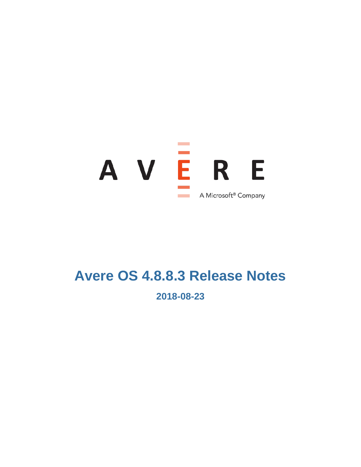

# **Avere OS 4.8.8.3 Release Notes**

**2018-08-23**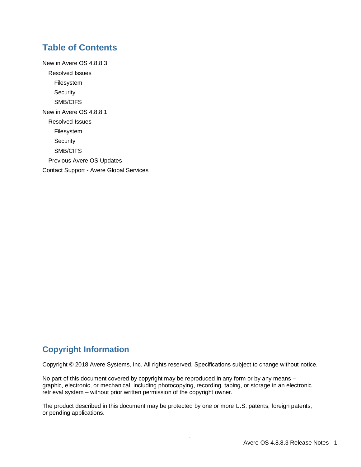### **Table of Contents**

[New in Avere OS 4.8.8.3](#page-2-0) [Resolved Issues](#page-2-1) [Filesystem](#page-2-2) **[Security](#page-2-3)** [SMB/CIFS](#page-2-4) [New in Avere OS 4.8.8.1](#page-2-5) [Resolved Issues](#page-2-6) [Filesystem](#page-2-7) **[Security](#page-2-8)** [SMB/CIFS](#page-2-9) [Previous Avere OS Updates](#page-3-0) Contact Support - [Avere Global Services](#page-3-1)

### **Copyright Information**

Copyright © 2018 Avere Systems, Inc. All rights reserved. Specifications subject to change without notice.

No part of this document covered by copyright may be reproduced in any form or by any means – graphic, electronic, or mechanical, including photocopying, recording, taping, or storage in an electronic retrieval system – without prior written permission of the copyright owner.

The product described in this document may be protected by one or more U.S. patents, foreign patents, or pending applications.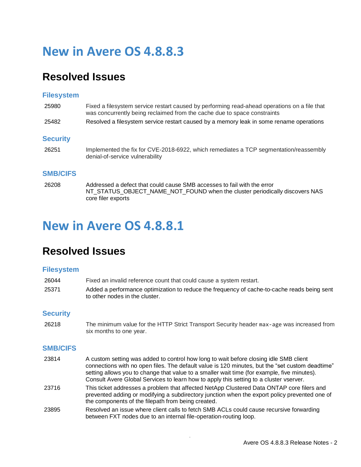## <span id="page-2-0"></span>**New in Avere OS 4.8.8.3**

## <span id="page-2-1"></span>**Resolved Issues**

#### <span id="page-2-2"></span>**Filesystem**

<span id="page-2-3"></span>

| 25980           | Fixed a filesystem service restart caused by performing read-ahead operations on a file that<br>was concurrently being reclaimed from the cache due to space constraints |
|-----------------|--------------------------------------------------------------------------------------------------------------------------------------------------------------------------|
| 25482           | Resolved a filesystem service restart caused by a memory leak in some rename operations                                                                                  |
| <b>Security</b> |                                                                                                                                                                          |
| 26251           | Implemented the fix for CVE-2018-6922, which remediates a TCP segmentation/reassembly<br>denial-of-service vulnerability                                                 |
| <b>SMB/CIFS</b> |                                                                                                                                                                          |
| 26208           | Addressed a defect that could cause SMB accesses to fail with the error<br>NT STATUS OBJECT NAME NOT FOUND when the cluster periodically discovers NAS                   |

## <span id="page-2-5"></span>**New in Avere OS 4.8.8.1**

<span id="page-2-4"></span>core filer exports

## <span id="page-2-6"></span>**Resolved Issues**

#### <span id="page-2-7"></span>**Filesystem**

| 26044 | Fixed an invalid reference count that could cause a system restart.                         |
|-------|---------------------------------------------------------------------------------------------|
| 25371 | Added a performance optimization to reduce the frequency of cache-to-cache reads being sent |
|       | to other nodes in the cluster.                                                              |

### <span id="page-2-8"></span>**Security**

26218 The minimum value for the HTTP Strict Transport Security header max-age was increased from six months to one year.

### <span id="page-2-9"></span>**SMB/CIFS**

| 23814 | A custom setting was added to control how long to wait before closing idle SMB client<br>connections with no open files. The default value is 120 minutes, but the "set custom deadtime"<br>setting allows you to change that value to a smaller wait time (for example, five minutes).<br>Consult Avere Global Services to learn how to apply this setting to a cluster vserver. |
|-------|-----------------------------------------------------------------------------------------------------------------------------------------------------------------------------------------------------------------------------------------------------------------------------------------------------------------------------------------------------------------------------------|
| 23716 | This ticket addresses a problem that affected NetApp Clustered Data ONTAP core filers and<br>prevented adding or modifying a subdirectory junction when the export policy prevented one of<br>the components of the filepath from being created.                                                                                                                                  |
| 23895 | Resolved an issue where client calls to fetch SMB ACLs could cause recursive forwarding<br>between FXT nodes due to an internal file-operation-routing loop.                                                                                                                                                                                                                      |

 $\overline{\phantom{a}}$